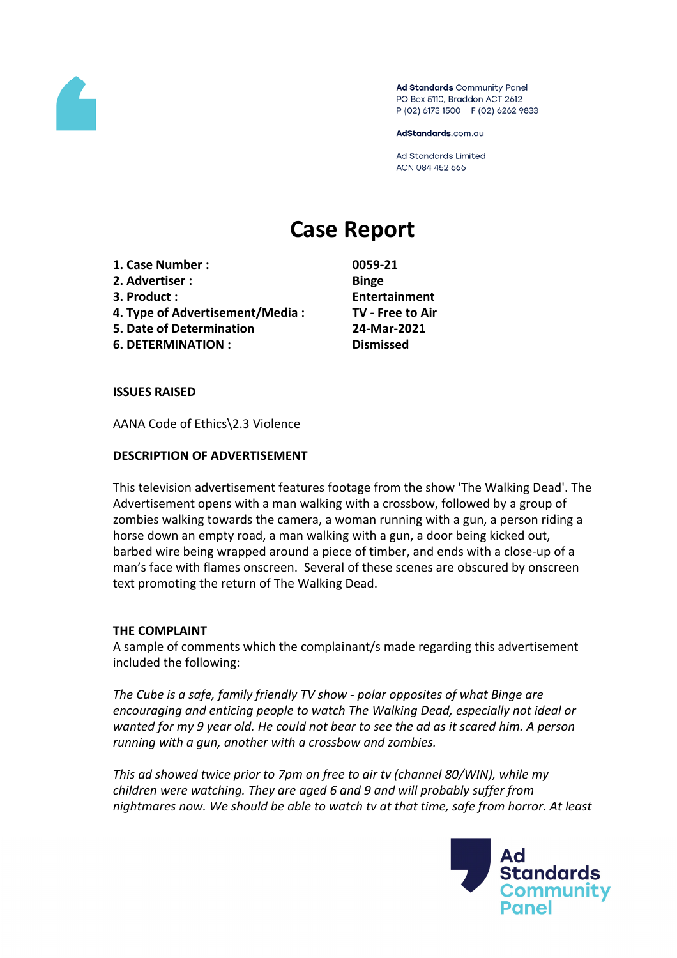

Ad Standards Community Panel PO Box 5110, Braddon ACT 2612 P (02) 6173 1500 | F (02) 6262 9833

AdStandards.com.au

**Ad Standards Limited** ACN 084 452 666

# **Case Report**

- **1. Case Number : 0059-21**
- **2. Advertiser : Binge**
- 
- **4. Type of Advertisement/Media : TV - Free to Air**
- **5. Date of Determination 24-Mar-2021**
- **6. DETERMINATION : Dismissed**

**3. Product : Entertainment**

## **ISSUES RAISED**

AANA Code of Ethics\2.3 Violence

## **DESCRIPTION OF ADVERTISEMENT**

This television advertisement features footage from the show 'The Walking Dead'. The Advertisement opens with a man walking with a crossbow, followed by a group of zombies walking towards the camera, a woman running with a gun, a person riding a horse down an empty road, a man walking with a gun, a door being kicked out, barbed wire being wrapped around a piece of timber, and ends with a close-up of a man's face with flames onscreen. Several of these scenes are obscured by onscreen text promoting the return of The Walking Dead.

## **THE COMPLAINT**

A sample of comments which the complainant/s made regarding this advertisement included the following:

*The Cube is a safe, family friendly TV show - polar opposites of what Binge are encouraging and enticing people to watch The Walking Dead, especially not ideal or wanted for my 9 year old. He could not bear to see the ad as it scared him. A person running with a gun, another with a crossbow and zombies.*

*This ad showed twice prior to 7pm on free to air tv (channel 80/WIN), while my children were watching. They are aged 6 and 9 and will probably suffer from nightmares now. We should be able to watch tv at that time, safe from horror. At least*

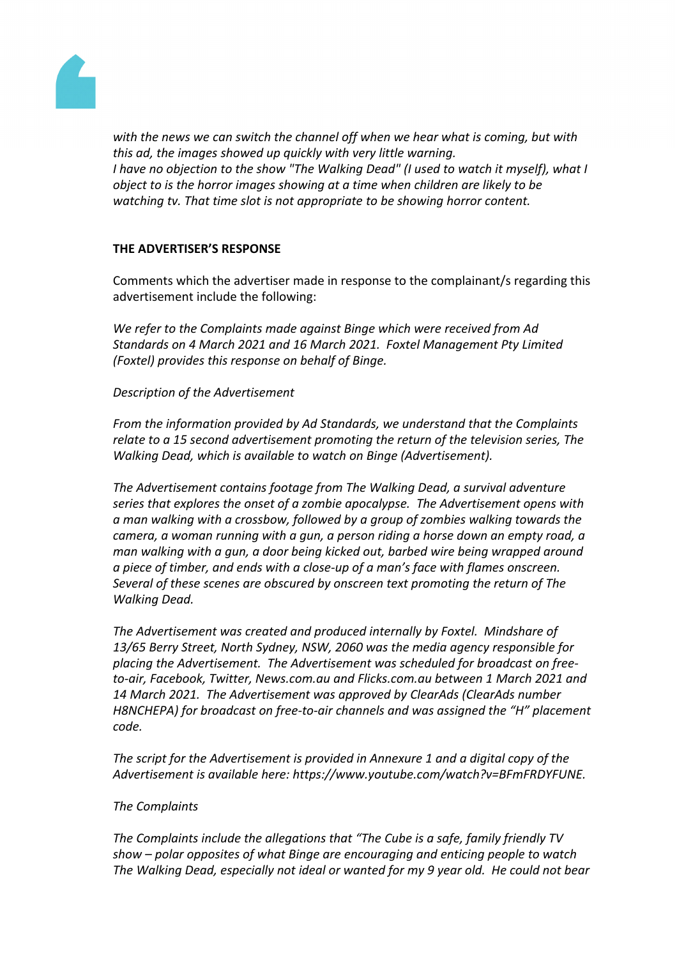

*with the news we can switch the channel off when we hear what is coming, but with this ad, the images showed up quickly with very little warning. I have no objection to the show "The Walking Dead" (I used to watch it myself), what I object to is the horror images showing at a time when children are likely to be watching tv. That time slot is not appropriate to be showing horror content.*

## **THE ADVERTISER'S RESPONSE**

Comments which the advertiser made in response to the complainant/s regarding this advertisement include the following:

*We refer to the Complaints made against Binge which were received from Ad Standards on 4 March 2021 and 16 March 2021. Foxtel Management Pty Limited (Foxtel) provides this response on behalf of Binge.*

*Description of the Advertisement*

*From the information provided by Ad Standards, we understand that the Complaints relate to a 15 second advertisement promoting the return of the television series, The Walking Dead, which is available to watch on Binge (Advertisement).* 

*The Advertisement contains footage from The Walking Dead, a survival adventure series that explores the onset of a zombie apocalypse. The Advertisement opens with a man walking with a crossbow, followed by a group of zombies walking towards the camera, a woman running with a gun, a person riding a horse down an empty road, a man walking with a gun, a door being kicked out, barbed wire being wrapped around a piece of timber, and ends with a close-up of a man's face with flames onscreen. Several of these scenes are obscured by onscreen text promoting the return of The Walking Dead.*

*The Advertisement was created and produced internally by Foxtel. Mindshare of 13/65 Berry Street, North Sydney, NSW, 2060 was the media agency responsible for placing the Advertisement. The Advertisement was scheduled for broadcast on freeto-air, Facebook, Twitter, News.com.au and Flicks.com.au between 1 March 2021 and 14 March 2021. The Advertisement was approved by ClearAds (ClearAds number H8NCHEPA) for broadcast on free-to-air channels and was assigned the "H" placement code.*

*The script for the Advertisement is provided in Annexure 1 and a digital copy of the Advertisement is available here: https://www.youtube.com/watch?v=BFmFRDYFUNE.*

## *The Complaints*

*The Complaints include the allegations that "The Cube is a safe, family friendly TV show – polar opposites of what Binge are encouraging and enticing people to watch The Walking Dead, especially not ideal or wanted for my 9 year old. He could not bear*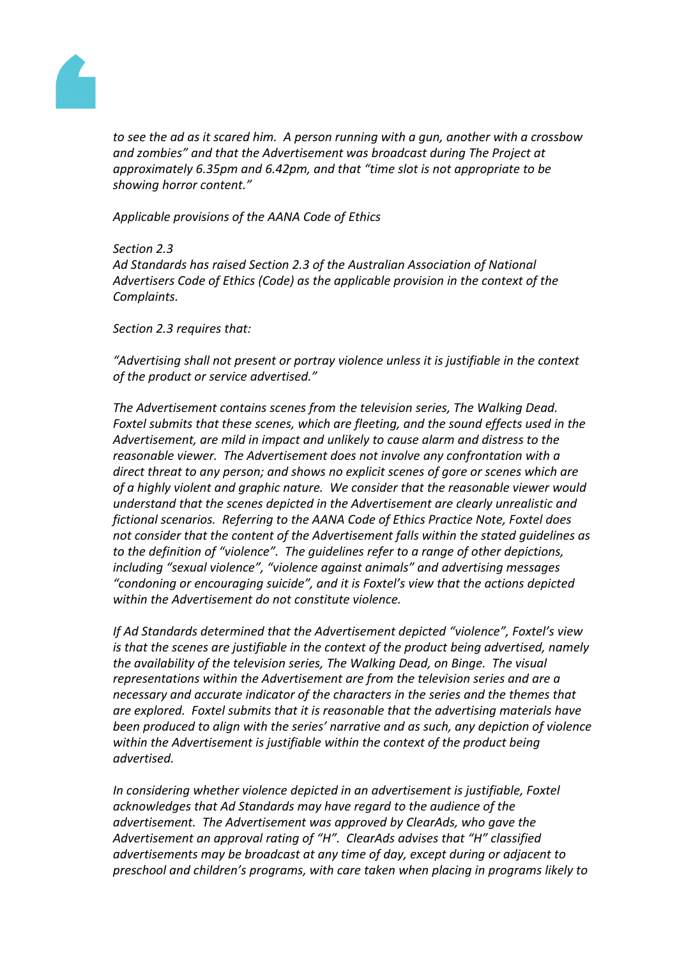

*to see the ad as it scared him. A person running with a gun, another with a crossbow and zombies" and that the Advertisement was broadcast during The Project at approximately 6.35pm and 6.42pm, and that "time slot is not appropriate to be showing horror content."*

*Applicable provisions of the AANA Code of Ethics*

*Section 2.3*

*Ad Standards has raised Section 2.3 of the Australian Association of National Advertisers Code of Ethics (Code) as the applicable provision in the context of the Complaints.*

*Section 2.3 requires that:*

*"Advertising shall not present or portray violence unless it is justifiable in the context of the product or service advertised."*

*The Advertisement contains scenes from the television series, The Walking Dead. Foxtel submits that these scenes, which are fleeting, and the sound effects used in the Advertisement, are mild in impact and unlikely to cause alarm and distress to the reasonable viewer. The Advertisement does not involve any confrontation with a direct threat to any person; and shows no explicit scenes of gore or scenes which are of a highly violent and graphic nature. We consider that the reasonable viewer would understand that the scenes depicted in the Advertisement are clearly unrealistic and fictional scenarios. Referring to the AANA Code of Ethics Practice Note, Foxtel does not consider that the content of the Advertisement falls within the stated guidelines as to the definition of "violence". The guidelines refer to a range of other depictions, including "sexual violence", "violence against animals" and advertising messages "condoning or encouraging suicide", and it is Foxtel's view that the actions depicted within the Advertisement do not constitute violence.* 

*If Ad Standards determined that the Advertisement depicted "violence", Foxtel's view is that the scenes are justifiable in the context of the product being advertised, namely the availability of the television series, The Walking Dead, on Binge. The visual representations within the Advertisement are from the television series and are a necessary and accurate indicator of the characters in the series and the themes that are explored. Foxtel submits that it is reasonable that the advertising materials have been produced to align with the series' narrative and as such, any depiction of violence within the Advertisement is justifiable within the context of the product being advertised.*

*In considering whether violence depicted in an advertisement is justifiable, Foxtel acknowledges that Ad Standards may have regard to the audience of the advertisement. The Advertisement was approved by ClearAds, who gave the Advertisement an approval rating of "H". ClearAds advises that "H" classified advertisements may be broadcast at any time of day, except during or adjacent to preschool and children's programs, with care taken when placing in programs likely to*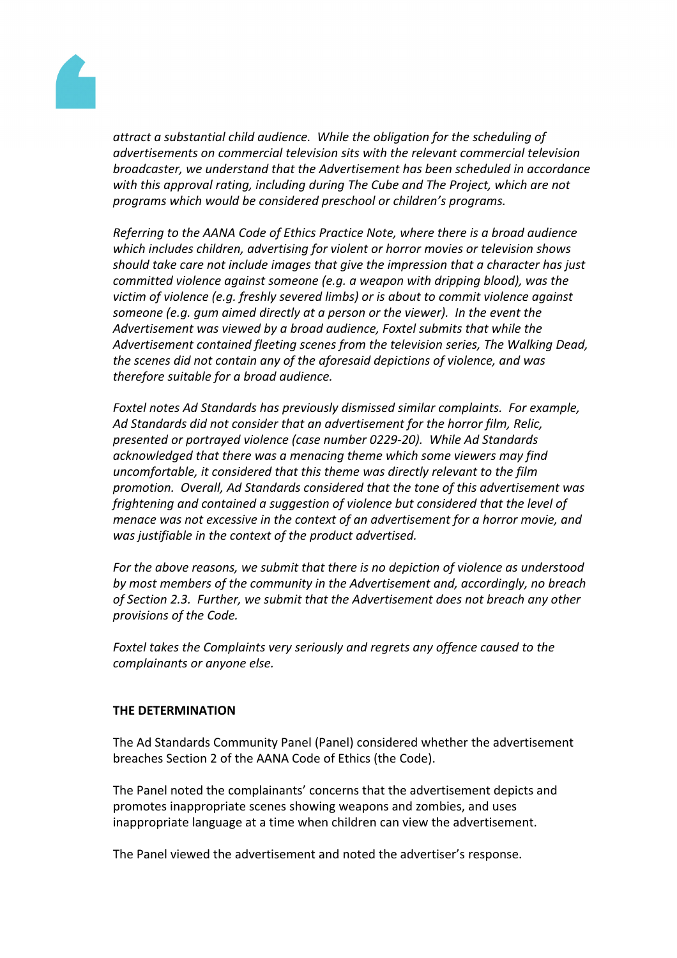

*attract a substantial child audience. While the obligation for the scheduling of advertisements on commercial television sits with the relevant commercial television broadcaster, we understand that the Advertisement has been scheduled in accordance with this approval rating, including during The Cube and The Project, which are not programs which would be considered preschool or children's programs.* 

*Referring to the AANA Code of Ethics Practice Note, where there is a broad audience which includes children, advertising for violent or horror movies or television shows should take care not include images that give the impression that a character has just committed violence against someone (e.g. a weapon with dripping blood), was the victim of violence (e.g. freshly severed limbs) or is about to commit violence against someone (e.g. gum aimed directly at a person or the viewer). In the event the Advertisement was viewed by a broad audience, Foxtel submits that while the Advertisement contained fleeting scenes from the television series, The Walking Dead, the scenes did not contain any of the aforesaid depictions of violence, and was therefore suitable for a broad audience.* 

*Foxtel notes Ad Standards has previously dismissed similar complaints. For example, Ad Standards did not consider that an advertisement for the horror film, Relic, presented or portrayed violence (case number 0229-20). While Ad Standards acknowledged that there was a menacing theme which some viewers may find uncomfortable, it considered that this theme was directly relevant to the film promotion. Overall, Ad Standards considered that the tone of this advertisement was frightening and contained a suggestion of violence but considered that the level of menace was not excessive in the context of an advertisement for a horror movie, and was justifiable in the context of the product advertised.* 

*For the above reasons, we submit that there is no depiction of violence as understood by most members of the community in the Advertisement and, accordingly, no breach of Section 2.3. Further, we submit that the Advertisement does not breach any other provisions of the Code.*

*Foxtel takes the Complaints very seriously and regrets any offence caused to the complainants or anyone else.*

## **THE DETERMINATION**

The Ad Standards Community Panel (Panel) considered whether the advertisement breaches Section 2 of the AANA Code of Ethics (the Code).

The Panel noted the complainants' concerns that the advertisement depicts and promotes inappropriate scenes showing weapons and zombies, and uses inappropriate language at a time when children can view the advertisement.

The Panel viewed the advertisement and noted the advertiser's response.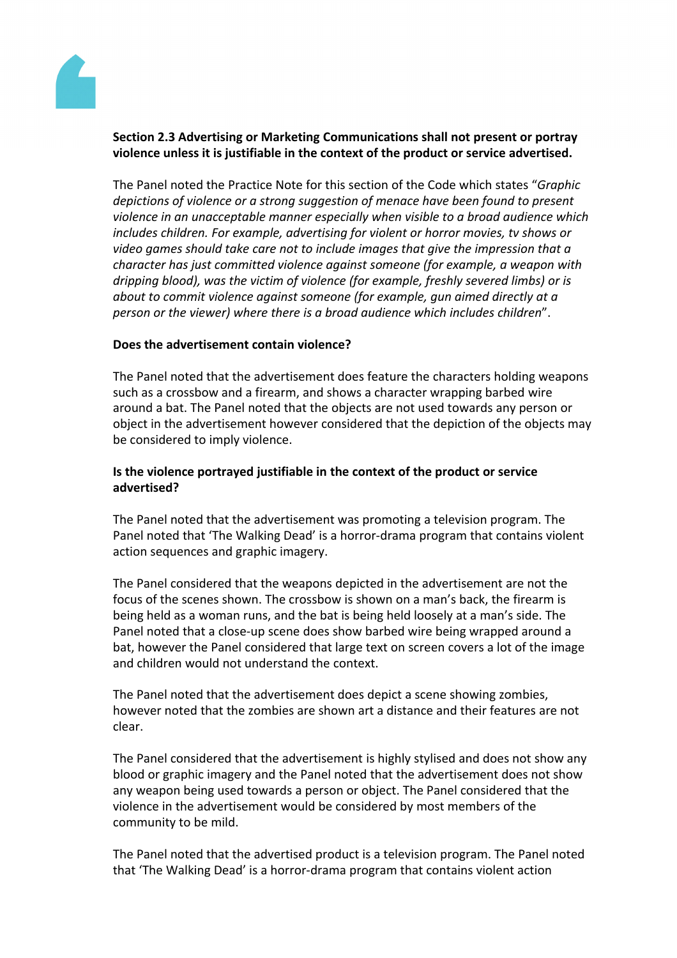

# **Section 2.3 Advertising or Marketing Communications shall not present or portray violence unless it is justifiable in the context of the product or service advertised.**

The Panel noted the Practice Note for this section of the Code which states "*Graphic depictions of violence or a strong suggestion of menace have been found to present violence in an unacceptable manner especially when visible to a broad audience which includes children. For example, advertising for violent or horror movies, tv shows or video games should take care not to include images that give the impression that a character has just committed violence against someone (for example, a weapon with dripping blood), was the victim of violence (for example, freshly severed limbs) or is about to commit violence against someone (for example, gun aimed directly at a person or the viewer) where there is a broad audience which includes children*".

## **Does the advertisement contain violence?**

The Panel noted that the advertisement does feature the characters holding weapons such as a crossbow and a firearm, and shows a character wrapping barbed wire around a bat. The Panel noted that the objects are not used towards any person or object in the advertisement however considered that the depiction of the objects may be considered to imply violence.

# **Is the violence portrayed justifiable in the context of the product or service advertised?**

The Panel noted that the advertisement was promoting a television program. The Panel noted that 'The Walking Dead' is a horror-drama program that contains violent action sequences and graphic imagery.

The Panel considered that the weapons depicted in the advertisement are not the focus of the scenes shown. The crossbow is shown on a man's back, the firearm is being held as a woman runs, and the bat is being held loosely at a man's side. The Panel noted that a close-up scene does show barbed wire being wrapped around a bat, however the Panel considered that large text on screen covers a lot of the image and children would not understand the context.

The Panel noted that the advertisement does depict a scene showing zombies, however noted that the zombies are shown art a distance and their features are not clear.

The Panel considered that the advertisement is highly stylised and does not show any blood or graphic imagery and the Panel noted that the advertisement does not show any weapon being used towards a person or object. The Panel considered that the violence in the advertisement would be considered by most members of the community to be mild.

The Panel noted that the advertised product is a television program. The Panel noted that 'The Walking Dead' is a horror-drama program that contains violent action